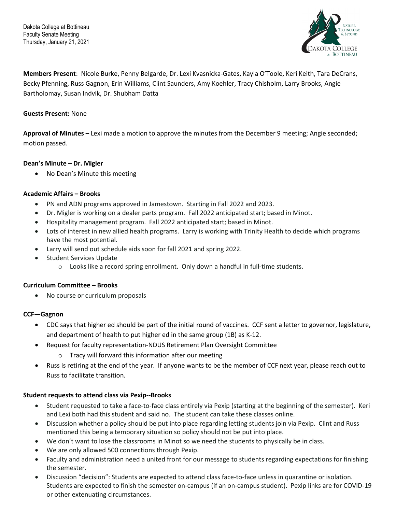Dakota College at Bottineau Faculty Senate Meeting Thursday, January 21, 2021



**Members Present**: Nicole Burke, Penny Belgarde, Dr. Lexi Kvasnicka-Gates, Kayla O'Toole, Keri Keith, Tara DeCrans, Becky Pfenning, Russ Gagnon, Erin Williams, Clint Saunders, Amy Koehler, Tracy Chisholm, Larry Brooks, Angie Bartholomay, Susan Indvik, Dr. Shubham Datta

### **Guests Present:** None

**Approval of Minutes –** Lexi made a motion to approve the minutes from the December 9 meeting; Angie seconded; motion passed.

## **Dean's Minute – Dr. Migler**

• No Dean's Minute this meeting

## **Academic Affairs – Brooks**

- PN and ADN programs approved in Jamestown. Starting in Fall 2022 and 2023.
- Dr. Migler is working on a dealer parts program. Fall 2022 anticipated start; based in Minot.
- Hospitality management program. Fall 2022 anticipated start; based in Minot.
- Lots of interest in new allied health programs. Larry is working with Trinity Health to decide which programs have the most potential.
- Larry will send out schedule aids soon for fall 2021 and spring 2022.
- Student Services Update
	- $\circ$  Looks like a record spring enrollment. Only down a handful in full-time students.

#### **Curriculum Committee – Brooks**

• No course or curriculum proposals

#### **CCF—Gagnon**

- CDC says that higher ed should be part of the initial round of vaccines. CCF sent a letter to governor, legislature, and department of health to put higher ed in the same group (1B) as K-12.
- Request for faculty representation-NDUS Retirement Plan Oversight Committee
	- o Tracy will forward this information after our meeting
- Russ is retiring at the end of the year. If anyone wants to be the member of CCF next year, please reach out to Russ to facilitate transition.

#### **Student requests to attend class via Pexip--Brooks**

- Student requested to take a face-to-face class entirely via Pexip (starting at the beginning of the semester). Keri and Lexi both had this student and said no. The student can take these classes online.
- Discussion whether a policy should be put into place regarding letting students join via Pexip. Clint and Russ mentioned this being a temporary situation so policy should not be put into place.
- We don't want to lose the classrooms in Minot so we need the students to physically be in class.
- We are only allowed 500 connections through Pexip.
- Faculty and administration need a united front for our message to students regarding expectations for finishing the semester.
- Discussion "decision": Students are expected to attend class face-to-face unless in quarantine or isolation. Students are expected to finish the semester on-campus (if an on-campus student). Pexip links are for COVID-19 or other extenuating circumstances.